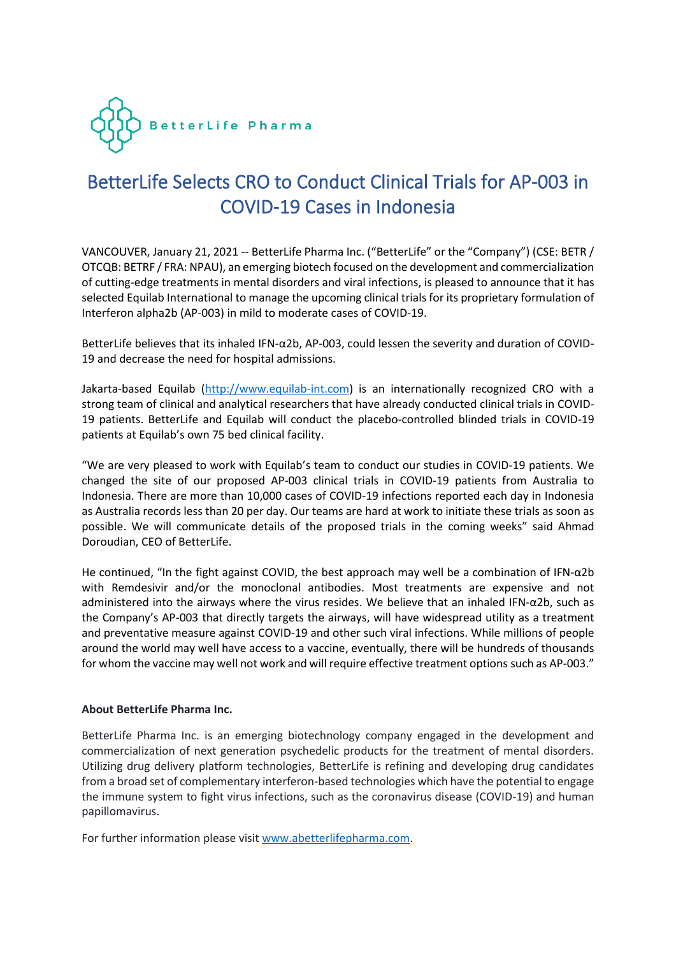

# BetterLife Selects CRO to Conduct Clinical Trials for AP-003 in COVID-19 Cases in Indonesia

VANCOUVER, January 21, 2021 -- BetterLife Pharma Inc. ("BetterLife" or the "Company") (CSE: BETR / OTCQB: BETRF / FRA: NPAU), an emerging biotech focused on the development and commercialization of cutting-edge treatments in mental disorders and viral infections, is pleased to announce that it has selected Equilab International to manage the upcoming clinical trials for its proprietary formulation of Interferon alpha2b (AP-003) in mild to moderate cases of COVID-19.

BetterLife believes that its inhaled IFN-α2b, AP-003, could lessen the severity and duration of COVID-19 and decrease the need for hospital admissions.

Jakarta-based Equilab [\(http://www.equilab-int.com\)](http://www.equilab-int.com/) is an internationally recognized CRO with a strong team of clinical and analytical researchers that have already conducted clinical trials in COVID-19 patients. BetterLife and Equilab will conduct the placebo-controlled blinded trials in COVID-19 patients at Equilab's own 75 bed clinical facility.

"We are very pleased to work with Equilab's team to conduct our studies in COVID-19 patients. We changed the site of our proposed AP-003 clinical trials in COVID-19 patients from Australia to Indonesia. There are more than 10,000 cases of COVID-19 infections reported each day in Indonesia as Australia records less than 20 per day. Our teams are hard at work to initiate these trials as soon as possible. We will communicate details of the proposed trials in the coming weeks" said Ahmad Doroudian, CEO of BetterLife.

He continued, "In the fight against COVID, the best approach may well be a combination of IFN-α2b with Remdesivir and/or the monoclonal antibodies. Most treatments are expensive and not administered into the airways where the virus resides. We believe that an inhaled IFN-α2b, such as the Company's AP-003 that directly targets the airways, will have widespread utility as a treatment and preventative measure against COVID-19 and other such viral infections. While millions of people around the world may well have access to a vaccine, eventually, there will be hundreds of thousands for whom the vaccine may well not work and will require effective treatment options such as AP-003."

# **About BetterLife Pharma Inc.**

BetterLife Pharma Inc. is an emerging biotechnology company engaged in the development and commercialization of next generation psychedelic products for the treatment of mental disorders. Utilizing drug delivery platform technologies, BetterLife is refining and developing drug candidates from a broad set of complementary interferon-based technologies which have the potential to engage the immune system to fight virus infections, such as the coronavirus disease (COVID-19) and human papillomavirus.

For further information please visit [www.abetterlifepharma.com.](file:///C:/Users/andre/AppData/Local/Temp/www.abetterlifepharma.com)